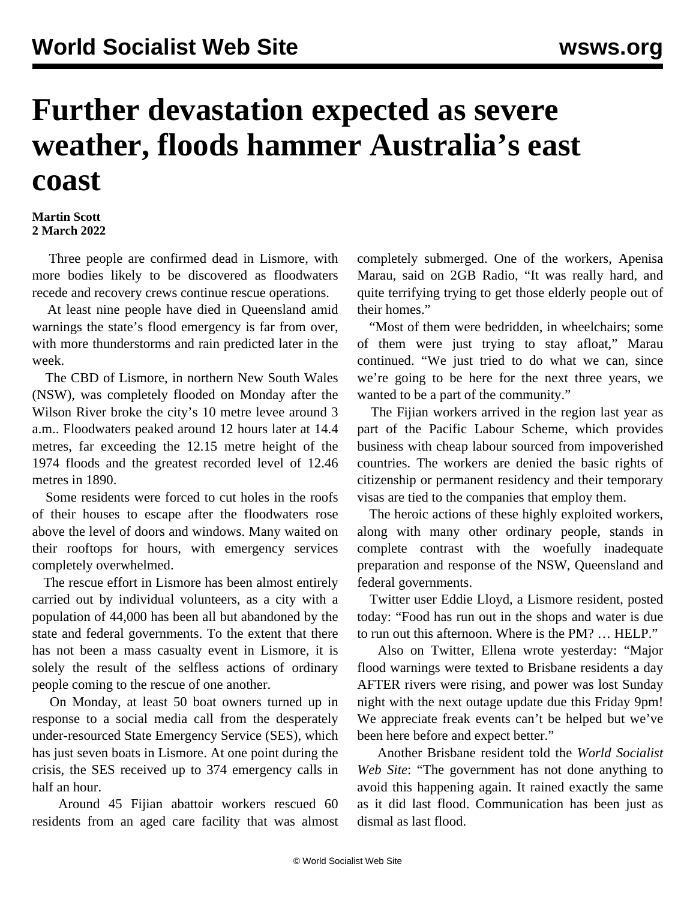## **Further devastation expected as severe weather, floods hammer Australia's east coast**

## **Martin Scott 2 March 2022**

 Three people are confirmed dead in Lismore, with more bodies likely to be discovered as floodwaters recede and recovery crews continue rescue operations.

 At least nine people have died in Queensland amid warnings the state's flood emergency is far from over, with more thunderstorms and rain predicted later in the week.

 The CBD of Lismore, in northern New South Wales (NSW), was completely flooded on Monday after the Wilson River broke the city's 10 metre levee around 3 a.m.. Floodwaters peaked around 12 hours later at 14.4 metres, far exceeding the 12.15 metre height of the 1974 floods and the greatest recorded level of 12.46 metres in 1890.

 Some residents were forced to cut holes in the roofs of their houses to escape after the floodwaters rose above the level of doors and windows. Many waited on their rooftops for hours, with emergency services completely overwhelmed.

 The rescue effort in Lismore has been almost entirely carried out by individual volunteers, as a city with a population of 44,000 has been all but abandoned by the state and federal governments. To the extent that there has not been a mass casualty event in Lismore, it is solely the result of the selfless actions of ordinary people coming to the rescue of one another.

 On Monday, at least 50 boat owners turned up in response to a social media call from the desperately under-resourced State Emergency Service (SES), which has just seven boats in Lismore. At one point during the crisis, the SES received up to 374 emergency calls in half an hour.

 Around 45 Fijian abattoir workers rescued 60 residents from an aged care facility that was almost completely submerged. One of the workers, Apenisa Marau, said on 2GB Radio, "It was really hard, and quite terrifying trying to get those elderly people out of their homes."

 "Most of them were bedridden, in wheelchairs; some of them were just trying to stay afloat," Marau continued. "We just tried to do what we can, since we're going to be here for the next three years, we wanted to be a part of the community."

 The Fijian workers arrived in the region last year as part of the Pacific Labour Scheme, which provides business with cheap labour sourced from impoverished countries. The workers are denied the basic rights of citizenship or permanent residency and their temporary visas are tied to the companies that employ them.

 The heroic actions of these highly exploited workers, along with many other ordinary people, stands in complete contrast with the woefully inadequate preparation and response of the NSW, Queensland and federal governments.

 Twitter user Eddie Lloyd, a Lismore resident, posted today: "Food has run out in the shops and water is due to run out this afternoon. Where is the PM? … HELP."

 Also on Twitter, Ellena wrote yesterday: "Major flood warnings were texted to Brisbane residents a day AFTER rivers were rising, and power was lost Sunday night with the next outage update due this Friday 9pm! We appreciate freak events can't be helped but we've been here before and expect better."

 Another Brisbane resident told the *World Socialist Web Site*: "The government has not done anything to avoid this happening again. It rained exactly the same as it did last flood. Communication has been just as dismal as last flood.